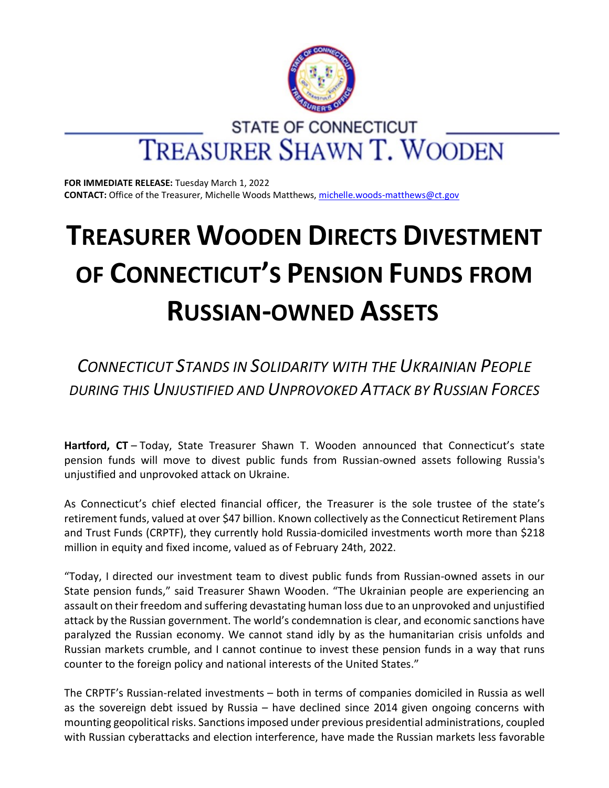

**FOR IMMEDIATE RELEASE:** Tuesday March 1, 2022 **CONTACT:** Office of the Treasurer, Michelle Woods Matthews, [michelle.woods-matthews@ct.gov](https://ctmail.ct.gov/owa/redir.aspx?REF=KHb3O-Plcti30olO0MLR70W_S31q9nQsE5e1n42Z21sEqwjZwvzXCAFtYWlsdG86Z2FicmllbGxlLmZhcnJlbGxAY3QuZ292)

## **TREASURER WOODEN DIRECTS DIVESTMENT OF CONNECTICUT'S PENSION FUNDS FROM RUSSIAN-OWNED ASSETS**

*CONNECTICUT STANDS IN SOLIDARITY WITH THE UKRAINIAN PEOPLE DURING THIS UNJUSTIFIED AND UNPROVOKED ATTACK BY RUSSIAN FORCES*

**Hartford, CT** – Today, State Treasurer Shawn T. Wooden announced that Connecticut's state pension funds will move to divest public funds from Russian-owned assets following Russia's unjustified and unprovoked attack on Ukraine.

As Connecticut's chief elected financial officer, the Treasurer is the sole trustee of the state's retirement funds, valued at over \$47 billion. Known collectively asthe Connecticut Retirement Plans and Trust Funds (CRPTF), they currently hold Russia-domiciled investments worth more than \$218 million in equity and fixed income, valued as of February 24th, 2022.

"Today, I directed our investment team to divest public funds from Russian-owned assets in our State pension funds," said Treasurer Shawn Wooden. "The Ukrainian people are experiencing an assault on their freedom and suffering devastating human loss due to an unprovoked and unjustified attack by the Russian government. The world's condemnation is clear, and economic sanctions have paralyzed the Russian economy. We cannot stand idly by as the humanitarian crisis unfolds and Russian markets crumble, and I cannot continue to invest these pension funds in a way that runs counter to the foreign policy and national interests of the United States."

The CRPTF's Russian-related investments – both in terms of companies domiciled in Russia as well as the sovereign debt issued by Russia – have declined since 2014 given ongoing concerns with mounting geopolitical risks. Sanctionsimposed under previous presidential administrations, coupled with Russian cyberattacks and election interference, have made the Russian markets less favorable